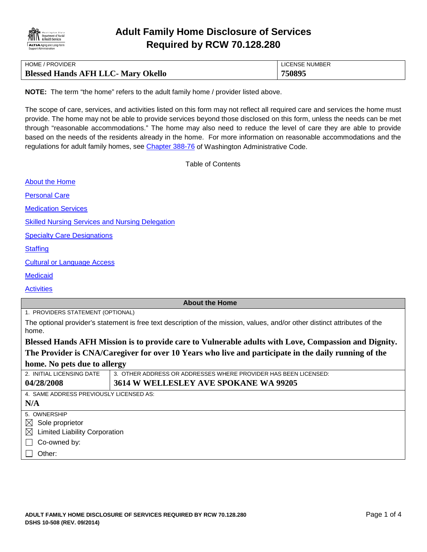

| HOME / PROVIDER                           | LICENSE NUMBER |
|-------------------------------------------|----------------|
| <b>Blessed Hands AFH LLC- Mary Okello</b> | 750895         |

**NOTE:** The term "the home" refers to the adult family home / provider listed above.

The scope of care, services, and activities listed on this form may not reflect all required care and services the home must provide. The home may not be able to provide services beyond those disclosed on this form, unless the needs can be met through "reasonable accommodations." The home may also need to reduce the level of care they are able to provide based on the needs of the residents already in the home. For more information on reasonable accommodations and the regulations for adult family homes, see [Chapter 388-76](http://apps.leg.wa.gov/WAC/default.aspx?cite=388-76) of Washington Administrative Code.

<span id="page-0-0"></span>Table of Contents

| <b>About the Home</b>                                  |                                                                                                                            |
|--------------------------------------------------------|----------------------------------------------------------------------------------------------------------------------------|
| <b>Personal Care</b>                                   |                                                                                                                            |
| <b>Medication Services</b>                             |                                                                                                                            |
| <b>Skilled Nursing Services and Nursing Delegation</b> |                                                                                                                            |
| <b>Specialty Care Designations</b>                     |                                                                                                                            |
| <b>Staffing</b>                                        |                                                                                                                            |
| <b>Cultural or Language Access</b>                     |                                                                                                                            |
| <b>Medicaid</b>                                        |                                                                                                                            |
| <b>Activities</b>                                      |                                                                                                                            |
|                                                        | <b>About the Home</b>                                                                                                      |
| 1. PROVIDERS STATEMENT (OPTIONAL)                      |                                                                                                                            |
| home.                                                  | The optional provider's statement is free text description of the mission, values, and/or other distinct attributes of the |
|                                                        | Blessed Hands AFH Mission is to provide care to Vulnerable adults with Love, Compassion and Dignity.                       |
|                                                        | The Provider is CNA/Caregiver for over 10 Years who live and participate in the daily running of the                       |
| home. No pets due to allergy                           |                                                                                                                            |
| 2. INITIAL LICENSING DATE                              | 3. OTHER ADDRESS OR ADDRESSES WHERE PROVIDER HAS BEEN LICENSED:                                                            |
| 04/28/2008                                             | 3614 W WELLESLEY AVE SPOKANE WA 99205                                                                                      |
| 4. SAME ADDRESS PREVIOUSLY LICENSED AS:                |                                                                                                                            |
| N/A                                                    |                                                                                                                            |
| 5. OWNERSHIP                                           |                                                                                                                            |
| $\boxtimes$ Sole proprietor                            |                                                                                                                            |
| $\boxtimes$ Limited Liability Corporation              |                                                                                                                            |
| Co-owned by:                                           |                                                                                                                            |
| Other:                                                 |                                                                                                                            |
|                                                        |                                                                                                                            |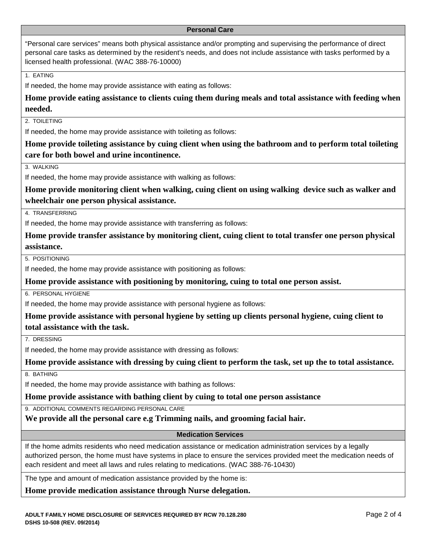#### <span id="page-1-0"></span>**Personal Care**

"Personal care services" means both physical assistance and/or prompting and supervising the performance of direct personal care tasks as determined by the resident's needs, and does not include assistance with tasks performed by a licensed health professional. (WAC 388-76-10000)

1. EATING

If needed, the home may provide assistance with eating as follows:

**Home provide eating assistance to clients cuing them during meals and total assistance with feeding when needed.**

2. TOILETING

If needed, the home may provide assistance with toileting as follows:

**Home provide toileting assistance by cuing client when using the bathroom and to perform total toileting care for both bowel and urine incontinence.**

3. WALKING

If needed, the home may provide assistance with walking as follows:

**Home provide monitoring client when walking, cuing client on using walking device such as walker and wheelchair one person physical assistance.**

4. TRANSFERRING

If needed, the home may provide assistance with transferring as follows:

**Home provide transfer assistance by monitoring client, cuing client to total transfer one person physical assistance.**

5. POSITIONING

If needed, the home may provide assistance with positioning as follows:

**Home provide assistance with positioning by monitoring, cuing to total one person assist.**

6. PERSONAL HYGIENE

If needed, the home may provide assistance with personal hygiene as follows:

**Home provide assistance with personal hygiene by setting up clients personal hygiene, cuing client to total assistance with the task.**

7. DRESSING

If needed, the home may provide assistance with dressing as follows:

**Home provide assistance with dressing by cuing client to perform the task, set up the to total assistance.**

8. BATHING

If needed, the home may provide assistance with bathing as follows:

**Home provide assistance with bathing client by cuing to total one person assistance**

9. ADDITIONAL COMMENTS REGARDING PERSONAL CARE

**We provide all the personal care e.g Trimming nails, and grooming facial hair.**

#### <span id="page-1-1"></span>**Medication Services**

If the home admits residents who need medication assistance or medication administration services by a legally authorized person, the home must have systems in place to ensure the services provided meet the medication needs of each resident and meet all laws and rules relating to medications. (WAC 388-76-10430)

The type and amount of medication assistance provided by the home is:

**Home provide medication assistance through Nurse delegation.**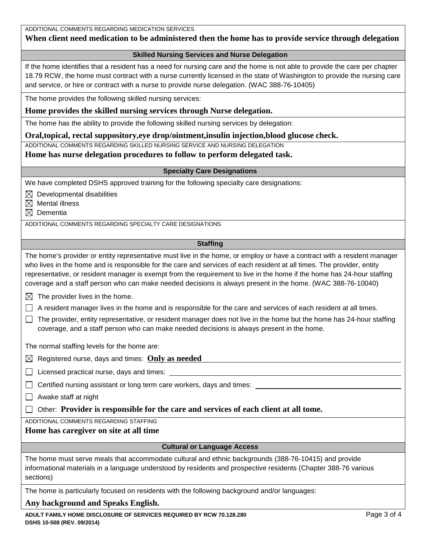| ADDITIONAL COMMENTS REGARDING MEDICATION SERVICES |
|---------------------------------------------------|
|---------------------------------------------------|

# **When client need medication to be administered then the home has to provide service through delegation**

### <span id="page-2-0"></span>**Skilled Nursing Services and Nurse Delegation**

If the home identifies that a resident has a need for nursing care and the home is not able to provide the care per chapter 18.79 RCW, the home must contract with a nurse currently licensed in the state of Washington to provide the nursing care and service, or hire or contract with a nurse to provide nurse delegation. (WAC 388-76-10405)

The home provides the following skilled nursing services:

## **Home provides the skilled nursing services through Nurse delegation.**

The home has the ability to provide the following skilled nursing services by delegation:

## **Oral,topical, rectal suppository,eye drop/ointment,insulin injection,blood glucose check.**

ADDITIONAL COMMENTS REGARDING SKILLED NURSING SERVICE AND NURSING DELEGATION

## **Home has nurse delegation procedures to follow to perform delegated task.**

### <span id="page-2-1"></span>**Specialty Care Designations**

We have completed DSHS approved training for the following specialty care designations:

 $\boxtimes$  Developmental disabilities

 $\boxtimes$  Mental illness

 $\boxtimes$  Dementia

ADDITIONAL COMMENTS REGARDING SPECIALTY CARE DESIGNATIONS

## <span id="page-2-2"></span>**Staffing**

The home's provider or entity representative must live in the home, or employ or have a contract with a resident manager who lives in the home and is responsible for the care and services of each resident at all times. The provider, entity representative, or resident manager is exempt from the requirement to live in the home if the home has 24-hour staffing coverage and a staff person who can make needed decisions is always present in the home. (WAC 388-76-10040)

 $\boxtimes$  The provider lives in the home.

 $\Box$  A resident manager lives in the home and is responsible for the care and services of each resident at all times.

 $\Box$  The provider, entity representative, or resident manager does not live in the home but the home has 24-hour staffing coverage, and a staff person who can make needed decisions is always present in the home.

The normal staffing levels for the home are:

 $\boxtimes$  Registered nurse, days and times: **Only as needed** 

 $\Box$  Licensed practical nurse, days and times:

 $\Box$  Certified nursing assistant or long term care workers, days and times:

 $\Box$  Awake staff at night

Other: **Provider is responsible for the care and services of each client at all tome.**

ADDITIONAL COMMENTS REGARDING STAFFING

## **Home has caregiver on site at all time**

## <span id="page-2-3"></span>**Cultural or Language Access**

The home must serve meals that accommodate cultural and ethnic backgrounds (388-76-10415) and provide informational materials in a language understood by residents and prospective residents (Chapter 388-76 various sections)

The home is particularly focused on residents with the following background and/or languages:

## **Any background and Speaks English.**